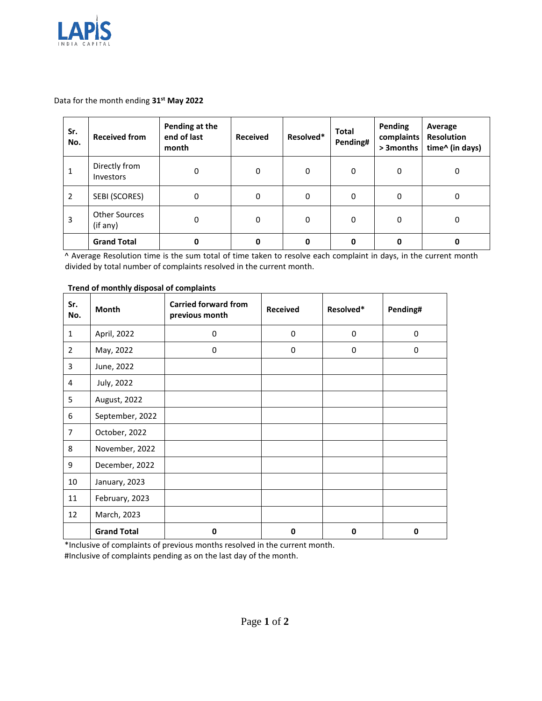

Data for the month ending **31 st May 2022**

| Sr.<br>No. | <b>Received from</b>             | Pending at the<br>end of last<br>month | <b>Received</b> | Resolved* | Total<br>Pending# | <b>Pending</b><br>complaints<br>> 3 months | Average<br><b>Resolution</b><br>time^ (in days) |
|------------|----------------------------------|----------------------------------------|-----------------|-----------|-------------------|--------------------------------------------|-------------------------------------------------|
| 1          | Directly from<br>Investors       | 0                                      | 0               | $\Omega$  | 0                 | 0                                          | $\Omega$                                        |
| 2          | SEBI (SCORES)                    | 0                                      | 0               | $\Omega$  | 0                 | $\Omega$                                   | 0                                               |
| 3          | <b>Other Sources</b><br>(if any) | 0                                      | 0               | $\Omega$  | 0                 | $\Omega$                                   | $\Omega$                                        |
|            | <b>Grand Total</b>               |                                        |                 | 0         | O                 | 0                                          |                                                 |

^ Average Resolution time is the sum total of time taken to resolve each complaint in days, in the current month divided by total number of complaints resolved in the current month.

| Sr.<br>No.     | Month              | <b>Carried forward from</b><br>previous month | <b>Received</b> | Resolved* | Pending# |
|----------------|--------------------|-----------------------------------------------|-----------------|-----------|----------|
| $\mathbf{1}$   | April, 2022        | 0                                             | 0               | 0         | 0        |
| 2              | May, 2022          | 0                                             | 0               | 0         | 0        |
| 3              | June, 2022         |                                               |                 |           |          |
| 4              | July, 2022         |                                               |                 |           |          |
| 5              | August, 2022       |                                               |                 |           |          |
| 6              | September, 2022    |                                               |                 |           |          |
| $\overline{7}$ | October, 2022      |                                               |                 |           |          |
| 8              | November, 2022     |                                               |                 |           |          |
| 9              | December, 2022     |                                               |                 |           |          |
| 10             | January, 2023      |                                               |                 |           |          |
| 11             | February, 2023     |                                               |                 |           |          |
| 12             | March, 2023        |                                               |                 |           |          |
|                | <b>Grand Total</b> | 0                                             | 0               | 0         | 0        |

## **Trend of monthly disposal of complaints**

\*Inclusive of complaints of previous months resolved in the current month.

#Inclusive of complaints pending as on the last day of the month.